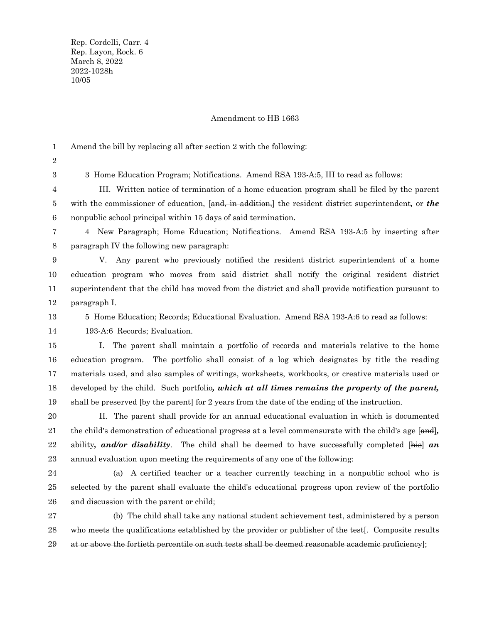Rep. Cordelli, Carr. 4 Rep. Layon, Rock. 6 March 8, 2022 2022-1028h 10/05

## Amendment to HB 1663

Amend the bill by replacing all after section 2 with the following: 1

2 3

3 Home Education Program; Notifications. Amend RSA 193-A:5, III to read as follows:

III. Written notice of termination of a home education program shall be filed by the parent with the commissioner of education, [and, in addition,] the resident district superintendent*,* or *the* nonpublic school principal within 15 days of said termination. 4 5 6

7

4 New Paragraph; Home Education; Notifications. Amend RSA 193-A:5 by inserting after paragraph IV the following new paragraph: 8

V. Any parent who previously notified the resident district superintendent of a home education program who moves from said district shall notify the original resident district superintendent that the child has moved from the district and shall provide notification pursuant to paragraph I. 9 10 11 12

5 Home Education; Records; Educational Evaluation. Amend RSA 193-A:6 to read as follows: 13

193-A:6 Records; Evaluation. 14

I. The parent shall maintain a portfolio of records and materials relative to the home education program. The portfolio shall consist of a log which designates by title the reading materials used, and also samples of writings, worksheets, workbooks, or creative materials used or developed by the child. Such portfolio*, which at all times remains the property of the parent,* shall be preserved (by the parent) for 2 years from the date of the ending of the instruction. 15 16 17 18 19

II. The parent shall provide for an annual educational evaluation in which is documented the child's demonstration of educational progress at a level commensurate with the child's age [and]*,* ability*, and/or disability*. The child shall be deemed to have successfully completed [his] *an* annual evaluation upon meeting the requirements of any one of the following: 20 21 22 23

24 25

26

(a) A certified teacher or a teacher currently teaching in a nonpublic school who is selected by the parent shall evaluate the child's educational progress upon review of the portfolio and discussion with the parent or child;

(b) The child shall take any national student achievement test, administered by a person who meets the qualifications established by the provider or publisher of the test. Composite results at or above the fortieth percentile on such tests shall be deemed reasonable academic proficiency]; 27 28 29